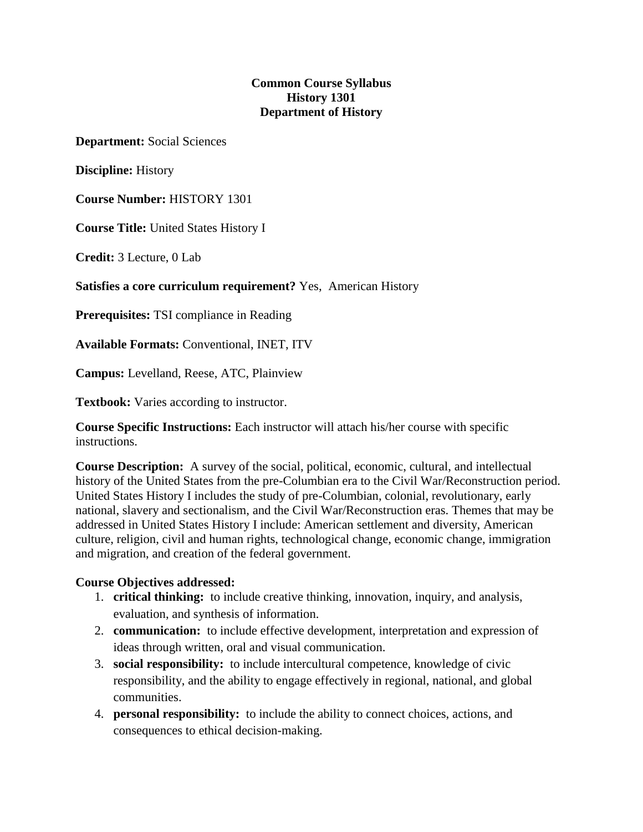# **Common Course Syllabus History 1301 Department of History**

**Department:** Social Sciences

**Discipline:** History

**Course Number:** HISTORY 1301

**Course Title:** United States History I

**Credit:** 3 Lecture, 0 Lab

**Satisfies a core curriculum requirement?** Yes, American History

**Prerequisites:** TSI compliance in Reading

**Available Formats:** Conventional, INET, ITV

**Campus:** Levelland, Reese, ATC, Plainview

**Textbook:** Varies according to instructor.

**Course Specific Instructions:** Each instructor will attach his/her course with specific instructions.

**Course Description:** A survey of the social, political, economic, cultural, and intellectual history of the United States from the pre-Columbian era to the Civil War/Reconstruction period. United States History I includes the study of pre-Columbian, colonial, revolutionary, early national, slavery and sectionalism, and the Civil War/Reconstruction eras. Themes that may be addressed in United States History I include: American settlement and diversity, American culture, religion, civil and human rights, technological change, economic change, immigration and migration, and creation of the federal government.

### **Course Objectives addressed:**

- 1. **critical thinking:** to include creative thinking, innovation, inquiry, and analysis, evaluation, and synthesis of information.
- 2. **communication:** to include effective development, interpretation and expression of ideas through written, oral and visual communication.
- 3. **social responsibility:** to include intercultural competence, knowledge of civic responsibility, and the ability to engage effectively in regional, national, and global communities.
- 4. **personal responsibility:** to include the ability to connect choices, actions, and consequences to ethical decision-making.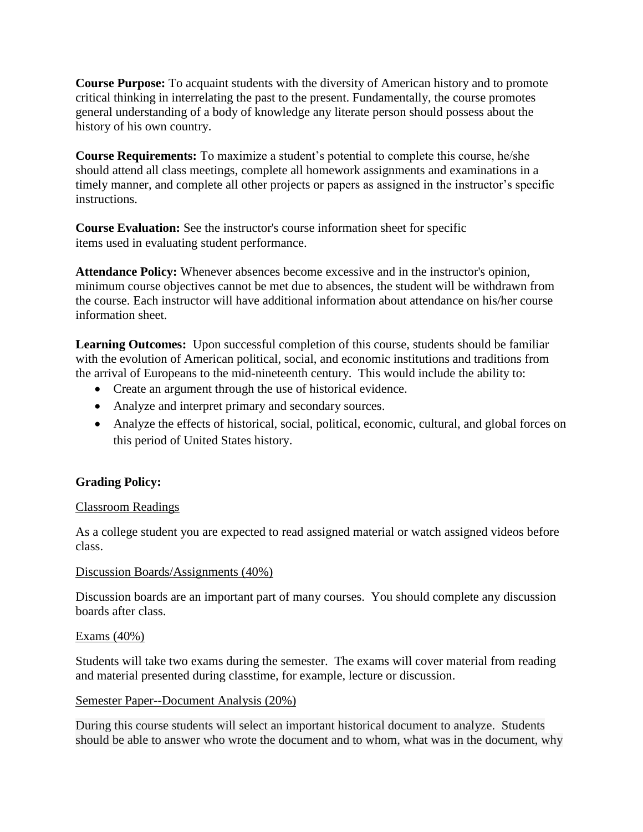**Course Purpose:** To acquaint students with the diversity of American history and to promote critical thinking in interrelating the past to the present. Fundamentally, the course promotes general understanding of a body of knowledge any literate person should possess about the history of his own country.

**Course Requirements:** To maximize a student's potential to complete this course, he/she should attend all class meetings, complete all homework assignments and examinations in a timely manner, and complete all other projects or papers as assigned in the instructor's specific instructions.

**Course Evaluation:** See the instructor's course information sheet for specific items used in evaluating student performance.

**Attendance Policy:** Whenever absences become excessive and in the instructor's opinion, minimum course objectives cannot be met due to absences, the student will be withdrawn from the course. Each instructor will have additional information about attendance on his/her course information sheet.

**Learning Outcomes:** Upon successful completion of this course, students should be familiar with the evolution of American political, social, and economic institutions and traditions from the arrival of Europeans to the mid-nineteenth century. This would include the ability to:

- Create an argument through the use of historical evidence.
- Analyze and interpret primary and secondary sources.
- Analyze the effects of historical, social, political, economic, cultural, and global forces on this period of United States history.

# **Grading Policy:**

# Classroom Readings

As a college student you are expected to read assigned material or watch assigned videos before class.

### Discussion Boards/Assignments (40%)

Discussion boards are an important part of many courses. You should complete any discussion boards after class.

### Exams (40%)

Students will take two exams during the semester. The exams will cover material from reading and material presented during classtime, for example, lecture or discussion.

### Semester Paper--Document Analysis (20%)

During this course students will select an important historical document to analyze. Students should be able to answer who wrote the document and to whom, what was in the document, why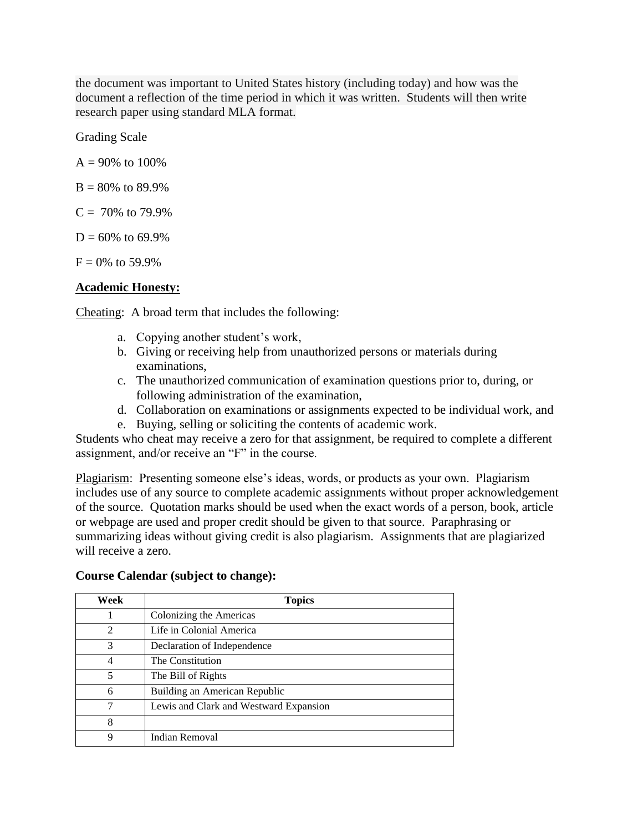the document was important to United States history (including today) and how was the document a reflection of the time period in which it was written. Students will then write research paper using standard MLA format.

Grading Scale

 $A = 90\%$  to 100%

 $B = 80\%$  to 89.9%

 $C = 70\%$  to 79.9%

 $D = 60\%$  to 69.9%

 $F = 0\%$  to 59.9%

# **Academic Honesty:**

Cheating: A broad term that includes the following:

- a. Copying another student's work,
- b. Giving or receiving help from unauthorized persons or materials during examinations,
- c. The unauthorized communication of examination questions prior to, during, or following administration of the examination,
- d. Collaboration on examinations or assignments expected to be individual work, and
- e. Buying, selling or soliciting the contents of academic work.

Students who cheat may receive a zero for that assignment, be required to complete a different assignment, and/or receive an "F" in the course.

Plagiarism: Presenting someone else's ideas, words, or products as your own. Plagiarism includes use of any source to complete academic assignments without proper acknowledgement of the source. Quotation marks should be used when the exact words of a person, book, article or webpage are used and proper credit should be given to that source. Paraphrasing or summarizing ideas without giving credit is also plagiarism. Assignments that are plagiarized will receive a zero.

| Week           | <b>Topics</b>                          |
|----------------|----------------------------------------|
|                | Colonizing the Americas                |
| $\overline{2}$ | Life in Colonial America               |
| 3              | Declaration of Independence            |
| 4              | The Constitution                       |
| 5              | The Bill of Rights                     |
| 6              | Building an American Republic          |
| 7              | Lewis and Clark and Westward Expansion |
| 8              |                                        |
| 9              | <b>Indian Removal</b>                  |

### **Course Calendar (subject to change):**